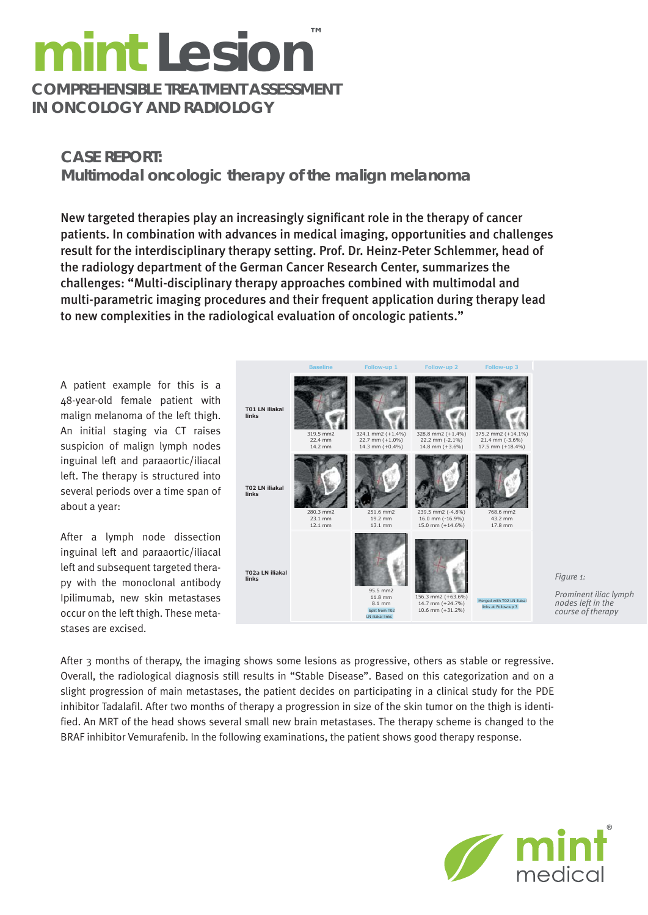## **mint Lesion COMPREHENSIBLE TREATMENT ASSESSMENT ™**

**IN ONCOLOGY AND RADIOLOGY** 

## **CASE REPORT: Multimodal oncologic therapy of the malign melanoma**

New targeted therapies play an increasingly significant role in the therapy of cancer patients. In combination with advances in medical imaging, opportunities and challenges result for the interdisciplinary therapy setting. Prof. Dr. Heinz-Peter Schlemmer, head of the radiology department of the German Cancer Research Center, summarizes the challenges: "Multi-disciplinary therapy approaches combined with multimodal and multi-parametric imaging procedures and their frequent application during therapy lead to new complexities in the radiological evaluation of oncologic patients."

A patient example for this is a 48-year-old female patient with malign melanoma of the left thigh. An initial staging via CT raises suspicion of malign lymph nodes inguinal left and paraaortic/iliacal left. The therapy is structured into several periods over a time span of about a year:

After a lymph node dissection inguinal left and paraaortic/iliacal left and subsequent targeted therapy with the monoclonal antibody Ipilimumab, new skin metastases occur on the left thigh. These metastases are excised.



After 3 months of therapy, the imaging shows some lesions as progressive, others as stable or regressive. Overall, the radiological diagnosis still results in "Stable Disease". Based on this categorization and on a slight progression of main metastases, the patient decides on participating in a clinical study for the PDE inhibitor Tadalafil. After two months of therapy a progression in size of the skin tumor on the thigh is identified. An MRT of the head shows several small new brain metastases. The therapy scheme is changed to the BRAF inhibitor Vemurafenib. In the following examinations, the patient shows good therapy response.



*Figure 1:*

*Prominent iliac lymph nodes left in the course of therapy*